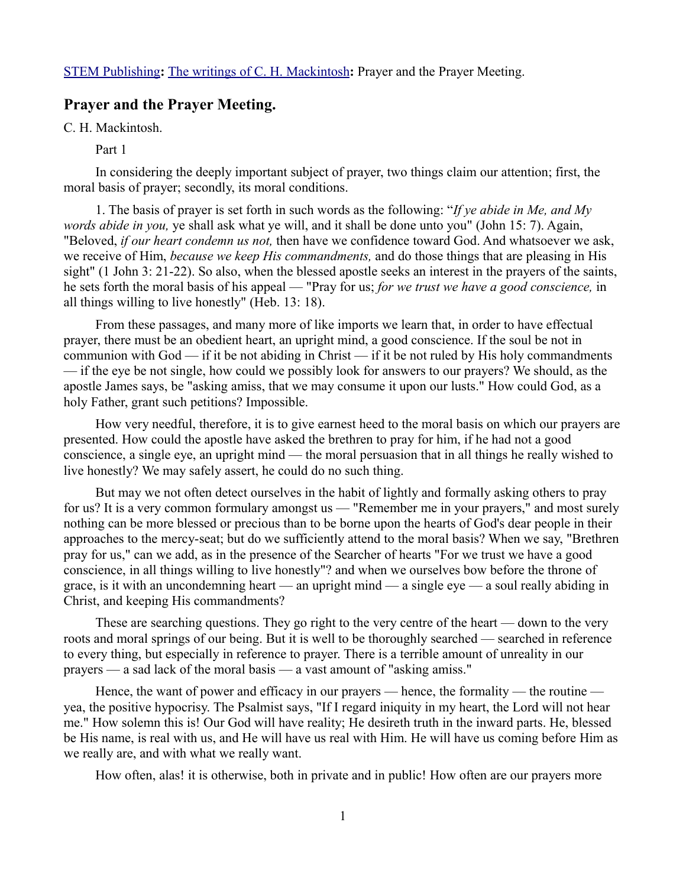## **Prayer and the Prayer Meeting.**

C. H. Mackintosh.

Part 1

In considering the deeply important subject of prayer, two things claim our attention; first, the moral basis of prayer; secondly, its moral conditions.

1. The basis of prayer is set forth in such words as the following: "*If ye abide in Me, and My words abide in you,* ye shall ask what ye will, and it shall be done unto you" (John 15: 7). Again, "Beloved, *if our heart condemn us not,* then have we confidence toward God. And whatsoever we ask, we receive of Him, *because we keep His commandments,* and do those things that are pleasing in His sight" (1 John 3: 21-22). So also, when the blessed apostle seeks an interest in the prayers of the saints, he sets forth the moral basis of his appeal — "Pray for us; *for we trust we have a good conscience,* in all things willing to live honestly" (Heb. 13: 18).

From these passages, and many more of like imports we learn that, in order to have effectual prayer, there must be an obedient heart, an upright mind, a good conscience. If the soul be not in communion with  $God - if it be not abiding in Christ - if it be not ruled by His holy commandments$ — if the eye be not single, how could we possibly look for answers to our prayers? We should, as the apostle James says, be "asking amiss, that we may consume it upon our lusts." How could God, as a holy Father, grant such petitions? Impossible.

How very needful, therefore, it is to give earnest heed to the moral basis on which our prayers are presented. How could the apostle have asked the brethren to pray for him, if he had not a good conscience, a single eye, an upright mind — the moral persuasion that in all things he really wished to live honestly? We may safely assert, he could do no such thing.

But may we not often detect ourselves in the habit of lightly and formally asking others to pray for us? It is a very common formulary amongst us — "Remember me in your prayers," and most surely nothing can be more blessed or precious than to be borne upon the hearts of God's dear people in their approaches to the mercy-seat; but do we sufficiently attend to the moral basis? When we say, "Brethren pray for us," can we add, as in the presence of the Searcher of hearts "For we trust we have a good conscience, in all things willing to live honestly"? and when we ourselves bow before the throne of grace, is it with an uncondemning heart — an upright mind — a single eye — a soul really abiding in Christ, and keeping His commandments?

These are searching questions. They go right to the very centre of the heart — down to the very roots and moral springs of our being. But it is well to be thoroughly searched — searched in reference to every thing, but especially in reference to prayer. There is a terrible amount of unreality in our prayers — a sad lack of the moral basis — a vast amount of "asking amiss."

Hence, the want of power and efficacy in our prayers — hence, the formality — the routine yea, the positive hypocrisy. The Psalmist says, "If I regard iniquity in my heart, the Lord will not hear me." How solemn this is! Our God will have reality; He desireth truth in the inward parts. He, blessed be His name, is real with us, and He will have us real with Him. He will have us coming before Him as we really are, and with what we really want.

How often, alas! it is otherwise, both in private and in public! How often are our prayers more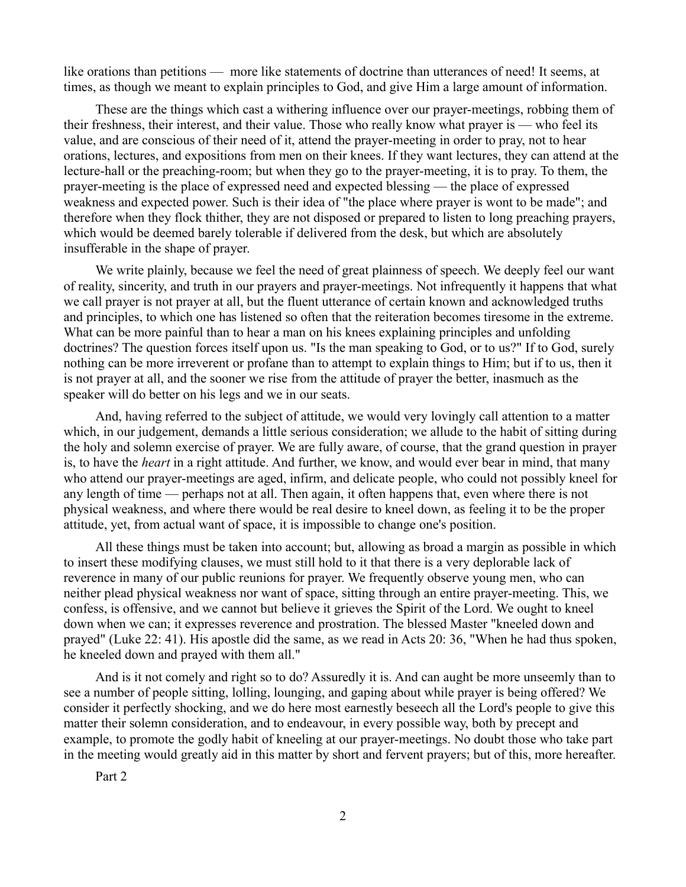like orations than petitions — more like statements of doctrine than utterances of need! It seems, at times, as though we meant to explain principles to God, and give Him a large amount of information.

These are the things which cast a withering influence over our prayer-meetings, robbing them of their freshness, their interest, and their value. Those who really know what prayer is — who feel its value, and are conscious of their need of it, attend the prayer-meeting in order to pray, not to hear orations, lectures, and expositions from men on their knees. If they want lectures, they can attend at the lecture-hall or the preaching-room; but when they go to the prayer-meeting, it is to pray. To them, the prayer-meeting is the place of expressed need and expected blessing — the place of expressed weakness and expected power. Such is their idea of "the place where prayer is wont to be made"; and therefore when they flock thither, they are not disposed or prepared to listen to long preaching prayers, which would be deemed barely tolerable if delivered from the desk, but which are absolutely insufferable in the shape of prayer.

We write plainly, because we feel the need of great plainness of speech. We deeply feel our want of reality, sincerity, and truth in our prayers and prayer-meetings. Not infrequently it happens that what we call prayer is not prayer at all, but the fluent utterance of certain known and acknowledged truths and principles, to which one has listened so often that the reiteration becomes tiresome in the extreme. What can be more painful than to hear a man on his knees explaining principles and unfolding doctrines? The question forces itself upon us. "Is the man speaking to God, or to us?" If to God, surely nothing can be more irreverent or profane than to attempt to explain things to Him; but if to us, then it is not prayer at all, and the sooner we rise from the attitude of prayer the better, inasmuch as the speaker will do better on his legs and we in our seats.

And, having referred to the subject of attitude, we would very lovingly call attention to a matter which, in our judgement, demands a little serious consideration; we allude to the habit of sitting during the holy and solemn exercise of prayer. We are fully aware, of course, that the grand question in prayer is, to have the *heart* in a right attitude. And further, we know, and would ever bear in mind, that many who attend our prayer-meetings are aged, infirm, and delicate people, who could not possibly kneel for any length of time — perhaps not at all. Then again, it often happens that, even where there is not physical weakness, and where there would be real desire to kneel down, as feeling it to be the proper attitude, yet, from actual want of space, it is impossible to change one's position.

All these things must be taken into account; but, allowing as broad a margin as possible in which to insert these modifying clauses, we must still hold to it that there is a very deplorable lack of reverence in many of our public reunions for prayer. We frequently observe young men, who can neither plead physical weakness nor want of space, sitting through an entire prayer-meeting. This, we confess, is offensive, and we cannot but believe it grieves the Spirit of the Lord. We ought to kneel down when we can; it expresses reverence and prostration. The blessed Master "kneeled down and prayed" (Luke 22: 41). His apostle did the same, as we read in Acts 20: 36, "When he had thus spoken, he kneeled down and prayed with them all."

And is it not comely and right so to do? Assuredly it is. And can aught be more unseemly than to see a number of people sitting, lolling, lounging, and gaping about while prayer is being offered? We consider it perfectly shocking, and we do here most earnestly beseech all the Lord's people to give this matter their solemn consideration, and to endeavour, in every possible way, both by precept and example, to promote the godly habit of kneeling at our prayer-meetings. No doubt those who take part in the meeting would greatly aid in this matter by short and fervent prayers; but of this, more hereafter.

Part 2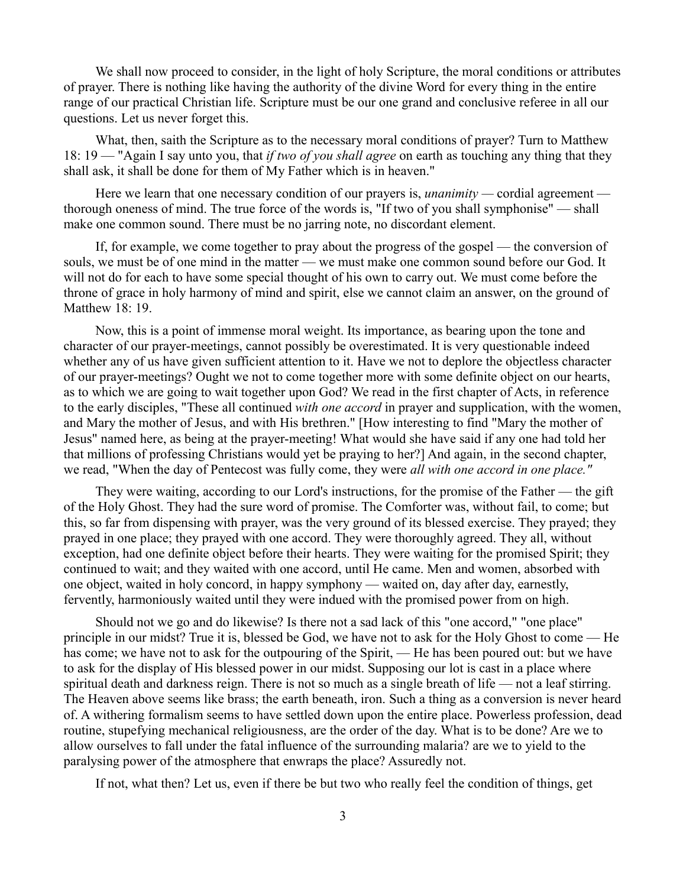We shall now proceed to consider, in the light of holy Scripture, the moral conditions or attributes of prayer. There is nothing like having the authority of the divine Word for every thing in the entire range of our practical Christian life. Scripture must be our one grand and conclusive referee in all our questions. Let us never forget this.

What, then, saith the Scripture as to the necessary moral conditions of prayer? Turn to Matthew 18: 19 — "Again I say unto you, that *if two of you shall agree* on earth as touching any thing that they shall ask, it shall be done for them of My Father which is in heaven."

Here we learn that one necessary condition of our prayers is, *unanimity —* cordial agreement thorough oneness of mind. The true force of the words is, "If two of you shall symphonise" — shall make one common sound. There must be no jarring note, no discordant element.

If, for example, we come together to pray about the progress of the gospel — the conversion of souls, we must be of one mind in the matter — we must make one common sound before our God. It will not do for each to have some special thought of his own to carry out. We must come before the throne of grace in holy harmony of mind and spirit, else we cannot claim an answer, on the ground of Matthew 18: 19.

Now, this is a point of immense moral weight. Its importance, as bearing upon the tone and character of our prayer-meetings, cannot possibly be overestimated. It is very questionable indeed whether any of us have given sufficient attention to it. Have we not to deplore the objectless character of our prayer-meetings? Ought we not to come together more with some definite object on our hearts, as to which we are going to wait together upon God? We read in the first chapter of Acts, in reference to the early disciples, "These all continued *with one accord* in prayer and supplication, with the women, and Mary the mother of Jesus, and with His brethren." [How interesting to find "Mary the mother of Jesus" named here, as being at the prayer-meeting! What would she have said if any one had told her that millions of professing Christians would yet be praying to her?] And again, in the second chapter, we read, "When the day of Pentecost was fully come, they were *all with one accord in one place."*

They were waiting, according to our Lord's instructions, for the promise of the Father — the gift of the Holy Ghost. They had the sure word of promise. The Comforter was, without fail, to come; but this, so far from dispensing with prayer, was the very ground of its blessed exercise. They prayed; they prayed in one place; they prayed with one accord. They were thoroughly agreed. They all, without exception, had one definite object before their hearts. They were waiting for the promised Spirit; they continued to wait; and they waited with one accord, until He came. Men and women, absorbed with one object, waited in holy concord, in happy symphony — waited on, day after day, earnestly, fervently, harmoniously waited until they were indued with the promised power from on high.

Should not we go and do likewise? Is there not a sad lack of this "one accord," "one place" principle in our midst? True it is, blessed be God, we have not to ask for the Holy Ghost to come — He has come; we have not to ask for the outpouring of the Spirit, — He has been poured out: but we have to ask for the display of His blessed power in our midst. Supposing our lot is cast in a place where spiritual death and darkness reign. There is not so much as a single breath of life — not a leaf stirring. The Heaven above seems like brass; the earth beneath, iron. Such a thing as a conversion is never heard of. A withering formalism seems to have settled down upon the entire place. Powerless profession, dead routine, stupefying mechanical religiousness, are the order of the day. What is to be done? Are we to allow ourselves to fall under the fatal influence of the surrounding malaria? are we to yield to the paralysing power of the atmosphere that enwraps the place? Assuredly not.

If not, what then? Let us, even if there be but two who really feel the condition of things, get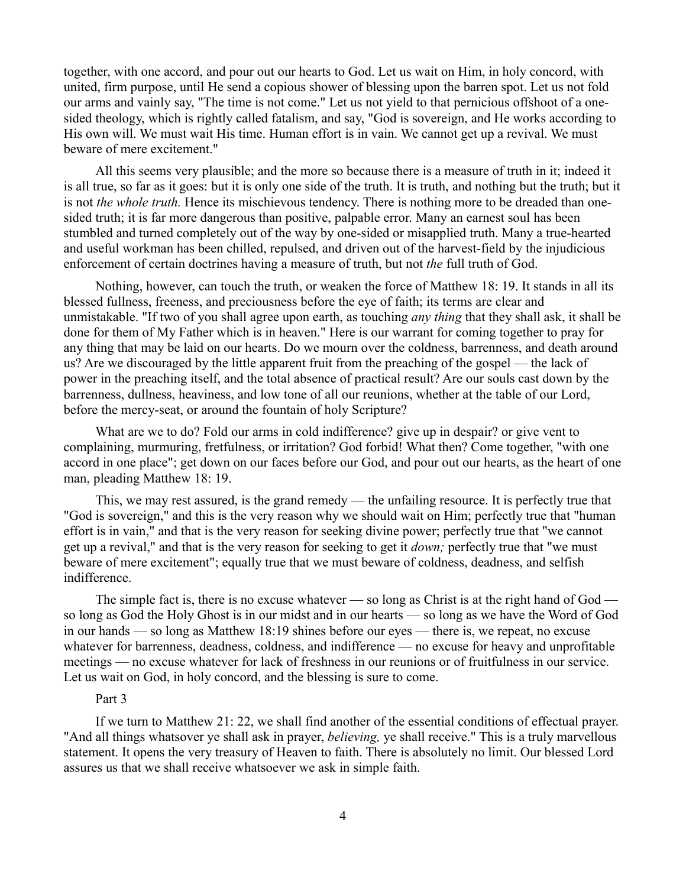together, with one accord, and pour out our hearts to God. Let us wait on Him, in holy concord, with united, firm purpose, until He send a copious shower of blessing upon the barren spot. Let us not fold our arms and vainly say, "The time is not come." Let us not yield to that pernicious offshoot of a onesided theology, which is rightly called fatalism, and say, "God is sovereign, and He works according to His own will. We must wait His time. Human effort is in vain. We cannot get up a revival. We must beware of mere excitement."

All this seems very plausible; and the more so because there is a measure of truth in it; indeed it is all true, so far as it goes: but it is only one side of the truth. It is truth, and nothing but the truth; but it is not *the whole truth.* Hence its mischievous tendency. There is nothing more to be dreaded than onesided truth; it is far more dangerous than positive, palpable error. Many an earnest soul has been stumbled and turned completely out of the way by one-sided or misapplied truth. Many a true-hearted and useful workman has been chilled, repulsed, and driven out of the harvest-field by the injudicious enforcement of certain doctrines having a measure of truth, but not *the* full truth of God.

Nothing, however, can touch the truth, or weaken the force of Matthew 18: 19. It stands in all its blessed fullness, freeness, and preciousness before the eye of faith; its terms are clear and unmistakable. "If two of you shall agree upon earth, as touching *any thing* that they shall ask, it shall be done for them of My Father which is in heaven." Here is our warrant for coming together to pray for any thing that may be laid on our hearts. Do we mourn over the coldness, barrenness, and death around us? Are we discouraged by the little apparent fruit from the preaching of the gospel — the lack of power in the preaching itself, and the total absence of practical result? Are our souls cast down by the barrenness, dullness, heaviness, and low tone of all our reunions, whether at the table of our Lord, before the mercy-seat, or around the fountain of holy Scripture?

What are we to do? Fold our arms in cold indifference? give up in despair? or give vent to complaining, murmuring, fretfulness, or irritation? God forbid! What then? Come together, "with one accord in one place"; get down on our faces before our God, and pour out our hearts, as the heart of one man, pleading Matthew 18: 19.

This, we may rest assured, is the grand remedy — the unfailing resource. It is perfectly true that "God is sovereign," and this is the very reason why we should wait on Him; perfectly true that "human effort is in vain," and that is the very reason for seeking divine power; perfectly true that "we cannot get up a revival," and that is the very reason for seeking to get it *down;* perfectly true that "we must beware of mere excitement"; equally true that we must beware of coldness, deadness, and selfish indifference.

The simple fact is, there is no excuse whatever — so long as Christ is at the right hand of God so long as God the Holy Ghost is in our midst and in our hearts — so long as we have the Word of God in our hands — so long as Matthew 18:19 shines before our eyes — there is, we repeat, no excuse whatever for barrenness, deadness, coldness, and indifference — no excuse for heavy and unprofitable meetings — no excuse whatever for lack of freshness in our reunions or of fruitfulness in our service. Let us wait on God, in holy concord, and the blessing is sure to come.

## Part 3

If we turn to Matthew 21: 22, we shall find another of the essential conditions of effectual prayer. "And all things whatsover ye shall ask in prayer, *believing,* ye shall receive." This is a truly marvellous statement. It opens the very treasury of Heaven to faith. There is absolutely no limit. Our blessed Lord assures us that we shall receive whatsoever we ask in simple faith.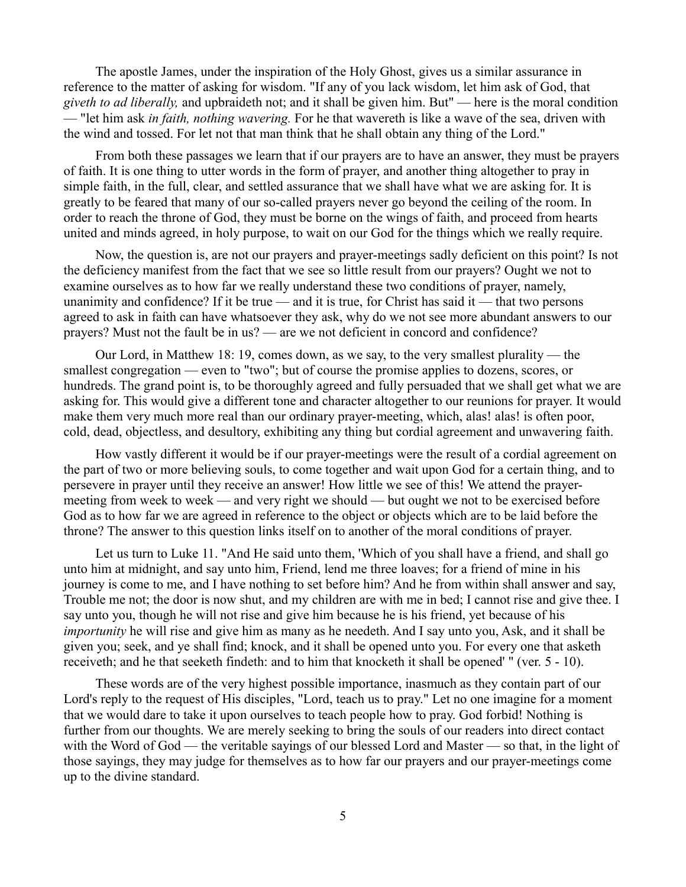The apostle James, under the inspiration of the Holy Ghost, gives us a similar assurance in reference to the matter of asking for wisdom. "If any of you lack wisdom, let him ask of God, that *giveth to ad liberally,* and upbraideth not; and it shall be given him. But" — here is the moral condition — "let him ask *in faith, nothing wavering.* For he that wavereth is like a wave of the sea, driven with the wind and tossed. For let not that man think that he shall obtain any thing of the Lord."

From both these passages we learn that if our prayers are to have an answer, they must be prayers of faith. It is one thing to utter words in the form of prayer, and another thing altogether to pray in simple faith, in the full, clear, and settled assurance that we shall have what we are asking for. It is greatly to be feared that many of our so-called prayers never go beyond the ceiling of the room. In order to reach the throne of God, they must be borne on the wings of faith, and proceed from hearts united and minds agreed, in holy purpose, to wait on our God for the things which we really require.

Now, the question is, are not our prayers and prayer-meetings sadly deficient on this point? Is not the deficiency manifest from the fact that we see so little result from our prayers? Ought we not to examine ourselves as to how far we really understand these two conditions of prayer, namely, unanimity and confidence? If it be true — and it is true, for Christ has said it — that two persons agreed to ask in faith can have whatsoever they ask, why do we not see more abundant answers to our prayers? Must not the fault be in us? — are we not deficient in concord and confidence?

Our Lord, in Matthew 18: 19, comes down, as we say, to the very smallest plurality — the smallest congregation — even to "two"; but of course the promise applies to dozens, scores, or hundreds. The grand point is, to be thoroughly agreed and fully persuaded that we shall get what we are asking for. This would give a different tone and character altogether to our reunions for prayer. It would make them very much more real than our ordinary prayer-meeting, which, alas! alas! is often poor, cold, dead, objectless, and desultory, exhibiting any thing but cordial agreement and unwavering faith.

How vastly different it would be if our prayer-meetings were the result of a cordial agreement on the part of two or more believing souls, to come together and wait upon God for a certain thing, and to persevere in prayer until they receive an answer! How little we see of this! We attend the prayermeeting from week to week — and very right we should — but ought we not to be exercised before God as to how far we are agreed in reference to the object or objects which are to be laid before the throne? The answer to this question links itself on to another of the moral conditions of prayer.

Let us turn to Luke 11. "And He said unto them, 'Which of you shall have a friend, and shall go unto him at midnight, and say unto him, Friend, lend me three loaves; for a friend of mine in his journey is come to me, and I have nothing to set before him? And he from within shall answer and say, Trouble me not; the door is now shut, and my children are with me in bed; I cannot rise and give thee. I say unto you, though he will not rise and give him because he is his friend, yet because of his *importunity* he will rise and give him as many as he needeth. And I say unto you, Ask, and it shall be given you; seek, and ye shall find; knock, and it shall be opened unto you. For every one that asketh receiveth; and he that seeketh findeth: and to him that knocketh it shall be opened' " (ver. 5 - 10).

These words are of the very highest possible importance, inasmuch as they contain part of our Lord's reply to the request of His disciples, "Lord, teach us to pray." Let no one imagine for a moment that we would dare to take it upon ourselves to teach people how to pray. God forbid! Nothing is further from our thoughts. We are merely seeking to bring the souls of our readers into direct contact with the Word of God — the veritable sayings of our blessed Lord and Master — so that, in the light of those sayings, they may judge for themselves as to how far our prayers and our prayer-meetings come up to the divine standard.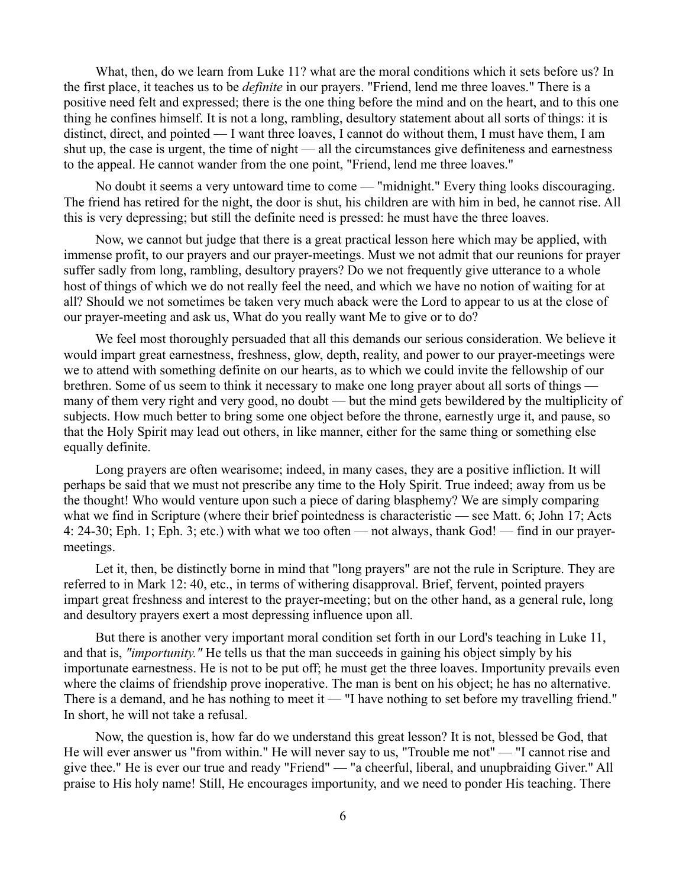What, then, do we learn from Luke 11? what are the moral conditions which it sets before us? In the first place, it teaches us to be *definite* in our prayers. "Friend, lend me three loaves." There is a positive need felt and expressed; there is the one thing before the mind and on the heart, and to this one thing he confines himself. It is not a long, rambling, desultory statement about all sorts of things: it is distinct, direct, and pointed — I want three loaves, I cannot do without them, I must have them, I am shut up, the case is urgent, the time of night — all the circumstances give definiteness and earnestness to the appeal. He cannot wander from the one point, "Friend, lend me three loaves."

No doubt it seems a very untoward time to come — "midnight." Every thing looks discouraging. The friend has retired for the night, the door is shut, his children are with him in bed, he cannot rise. All this is very depressing; but still the definite need is pressed: he must have the three loaves.

Now, we cannot but judge that there is a great practical lesson here which may be applied, with immense profit, to our prayers and our prayer-meetings. Must we not admit that our reunions for prayer suffer sadly from long, rambling, desultory prayers? Do we not frequently give utterance to a whole host of things of which we do not really feel the need, and which we have no notion of waiting for at all? Should we not sometimes be taken very much aback were the Lord to appear to us at the close of our prayer-meeting and ask us, What do you really want Me to give or to do?

We feel most thoroughly persuaded that all this demands our serious consideration. We believe it would impart great earnestness, freshness, glow, depth, reality, and power to our prayer-meetings were we to attend with something definite on our hearts, as to which we could invite the fellowship of our brethren. Some of us seem to think it necessary to make one long prayer about all sorts of things many of them very right and very good, no doubt — but the mind gets bewildered by the multiplicity of subjects. How much better to bring some one object before the throne, earnestly urge it, and pause, so that the Holy Spirit may lead out others, in like manner, either for the same thing or something else equally definite.

Long prayers are often wearisome; indeed, in many cases, they are a positive infliction. It will perhaps be said that we must not prescribe any time to the Holy Spirit. True indeed; away from us be the thought! Who would venture upon such a piece of daring blasphemy? We are simply comparing what we find in Scripture (where their brief pointedness is characteristic — see Matt. 6; John 17; Acts 4: 24-30; Eph. 1; Eph. 3; etc.) with what we too often — not always, thank God! — find in our prayermeetings.

Let it, then, be distinctly borne in mind that "long prayers" are not the rule in Scripture. They are referred to in Mark 12: 40, etc., in terms of withering disapproval. Brief, fervent, pointed prayers impart great freshness and interest to the prayer-meeting; but on the other hand, as a general rule, long and desultory prayers exert a most depressing influence upon all.

But there is another very important moral condition set forth in our Lord's teaching in Luke 11, and that is, *"importunity."* He tells us that the man succeeds in gaining his object simply by his importunate earnestness. He is not to be put off; he must get the three loaves. Importunity prevails even where the claims of friendship prove inoperative. The man is bent on his object; he has no alternative. There is a demand, and he has nothing to meet it — "I have nothing to set before my travelling friend." In short, he will not take a refusal.

Now, the question is, how far do we understand this great lesson? It is not, blessed be God, that He will ever answer us "from within." He will never say to us, "Trouble me not" — "I cannot rise and give thee." He is ever our true and ready "Friend" — "a cheerful, liberal, and unupbraiding Giver." All praise to His holy name! Still, He encourages importunity, and we need to ponder His teaching. There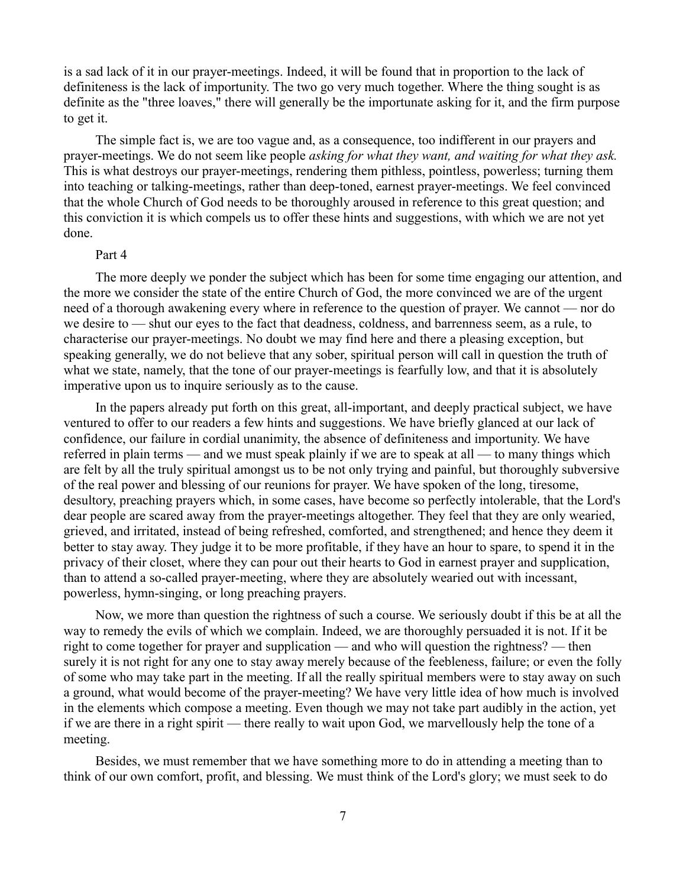is a sad lack of it in our prayer-meetings. Indeed, it will be found that in proportion to the lack of definiteness is the lack of importunity. The two go very much together. Where the thing sought is as definite as the "three loaves," there will generally be the importunate asking for it, and the firm purpose to get it.

The simple fact is, we are too vague and, as a consequence, too indifferent in our prayers and prayer-meetings. We do not seem like people *asking for what they want, and waiting for what they ask.* This is what destroys our prayer-meetings, rendering them pithless, pointless, powerless; turning them into teaching or talking-meetings, rather than deep-toned, earnest prayer-meetings. We feel convinced that the whole Church of God needs to be thoroughly aroused in reference to this great question; and this conviction it is which compels us to offer these hints and suggestions, with which we are not yet done.

## Part 4

The more deeply we ponder the subject which has been for some time engaging our attention, and the more we consider the state of the entire Church of God, the more convinced we are of the urgent need of a thorough awakening every where in reference to the question of prayer. We cannot — nor do we desire to — shut our eyes to the fact that deadness, coldness, and barrenness seem, as a rule, to characterise our prayer-meetings. No doubt we may find here and there a pleasing exception, but speaking generally, we do not believe that any sober, spiritual person will call in question the truth of what we state, namely, that the tone of our prayer-meetings is fearfully low, and that it is absolutely imperative upon us to inquire seriously as to the cause.

In the papers already put forth on this great, all-important, and deeply practical subject, we have ventured to offer to our readers a few hints and suggestions. We have briefly glanced at our lack of confidence, our failure in cordial unanimity, the absence of definiteness and importunity. We have referred in plain terms — and we must speak plainly if we are to speak at all — to many things which are felt by all the truly spiritual amongst us to be not only trying and painful, but thoroughly subversive of the real power and blessing of our reunions for prayer. We have spoken of the long, tiresome, desultory, preaching prayers which, in some cases, have become so perfectly intolerable, that the Lord's dear people are scared away from the prayer-meetings altogether. They feel that they are only wearied, grieved, and irritated, instead of being refreshed, comforted, and strengthened; and hence they deem it better to stay away. They judge it to be more profitable, if they have an hour to spare, to spend it in the privacy of their closet, where they can pour out their hearts to God in earnest prayer and supplication, than to attend a so-called prayer-meeting, where they are absolutely wearied out with incessant, powerless, hymn-singing, or long preaching prayers.

Now, we more than question the rightness of such a course. We seriously doubt if this be at all the way to remedy the evils of which we complain. Indeed, we are thoroughly persuaded it is not. If it be right to come together for prayer and supplication — and who will question the rightness? — then surely it is not right for any one to stay away merely because of the feebleness, failure; or even the folly of some who may take part in the meeting. If all the really spiritual members were to stay away on such a ground, what would become of the prayer-meeting? We have very little idea of how much is involved in the elements which compose a meeting. Even though we may not take part audibly in the action, yet if we are there in a right spirit — there really to wait upon God, we marvellously help the tone of a meeting.

Besides, we must remember that we have something more to do in attending a meeting than to think of our own comfort, profit, and blessing. We must think of the Lord's glory; we must seek to do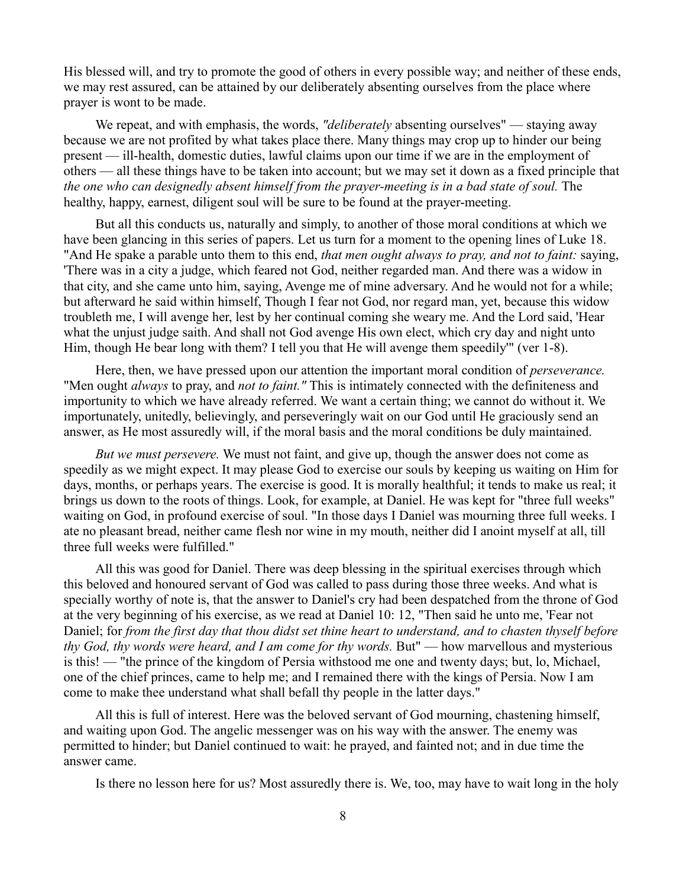His blessed will, and try to promote the good of others in every possible way; and neither of these ends, we may rest assured, can be attained by our deliberately absenting ourselves from the place where prayer is wont to be made.

We repeat, and with emphasis, the words, *"deliberately* absenting ourselves" — staying away because we are not profited by what takes place there. Many things may crop up to hinder our being present — ill-health, domestic duties, lawful claims upon our time if we are in the employment of others — all these things have to be taken into account; but we may set it down as a fixed principle that *the one who can designedly absent himself from the prayer-meeting is in a bad state of soul.* The healthy, happy, earnest, diligent soul will be sure to be found at the prayer-meeting.

But all this conducts us, naturally and simply, to another of those moral conditions at which we have been glancing in this series of papers. Let us turn for a moment to the opening lines of Luke 18. "And He spake a parable unto them to this end, *that men ought always to pray, and not to faint:* saying, 'There was in a city a judge, which feared not God, neither regarded man. And there was a widow in that city, and she came unto him, saying, Avenge me of mine adversary. And he would not for a while; but afterward he said within himself, Though I fear not God, nor regard man, yet, because this widow troubleth me, I will avenge her, lest by her continual coming she weary me. And the Lord said, 'Hear what the unjust judge saith. And shall not God avenge His own elect, which cry day and night unto Him, though He bear long with them? I tell you that He will avenge them speedily'" (ver 1-8).

Here, then, we have pressed upon our attention the important moral condition of *perseverance.* "Men ought *always* to pray, and *not to faint."* This is intimately connected with the definiteness and importunity to which we have already referred. We want a certain thing; we cannot do without it. We importunately, unitedly, believingly, and perseveringly wait on our God until He graciously send an answer, as He most assuredly will, if the moral basis and the moral conditions be duly maintained.

*But we must persevere.* We must not faint, and give up, though the answer does not come as speedily as we might expect. It may please God to exercise our souls by keeping us waiting on Him for days, months, or perhaps years. The exercise is good. It is morally healthful; it tends to make us real; it brings us down to the roots of things. Look, for example, at Daniel. He was kept for "three full weeks" waiting on God, in profound exercise of soul. "In those days I Daniel was mourning three full weeks. I ate no pleasant bread, neither came flesh nor wine in my mouth, neither did I anoint myself at all, till three full weeks were fulfilled."

All this was good for Daniel. There was deep blessing in the spiritual exercises through which this beloved and honoured servant of God was called to pass during those three weeks. And what is specially worthy of note is, that the answer to Daniel's cry had been despatched from the throne of God at the very beginning of his exercise, as we read at Daniel 10: 12, "Then said he unto me, 'Fear not Daniel; for *from the first day that thou didst set thine heart to understand, and to chasten thyself before thy God, thy words were heard, and I am come for thy words.* But" — how marvellous and mysterious is this! — "the prince of the kingdom of Persia withstood me one and twenty days; but, lo, Michael, one of the chief princes, came to help me; and I remained there with the kings of Persia. Now I am come to make thee understand what shall befall thy people in the latter days."

All this is full of interest. Here was the beloved servant of God mourning, chastening himself, and waiting upon God. The angelic messenger was on his way with the answer. The enemy was permitted to hinder; but Daniel continued to wait: he prayed, and fainted not; and in due time the answer came.

Is there no lesson here for us? Most assuredly there is. We, too, may have to wait long in the holy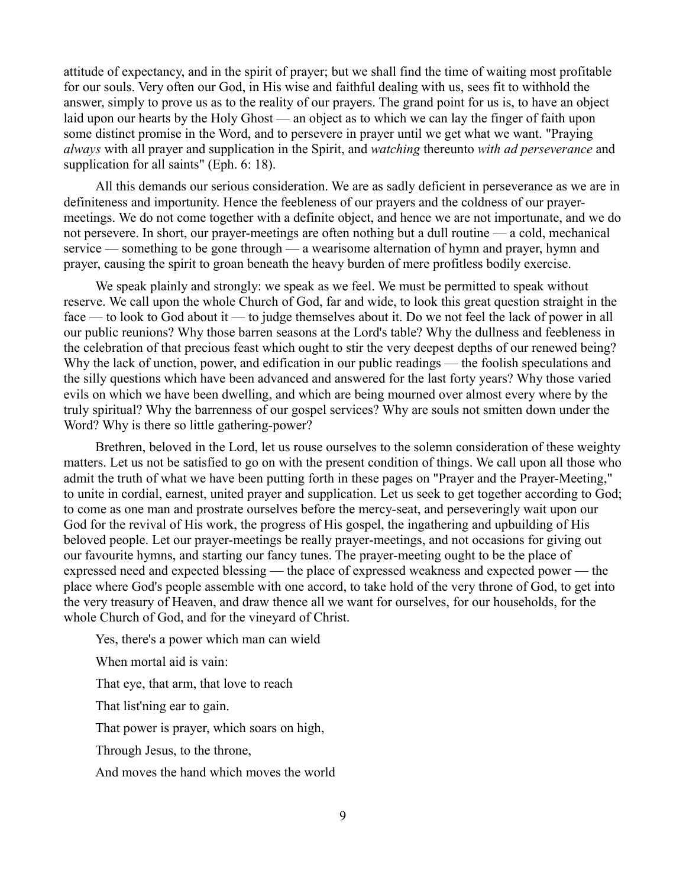attitude of expectancy, and in the spirit of prayer; but we shall find the time of waiting most profitable for our souls. Very often our God, in His wise and faithful dealing with us, sees fit to withhold the answer, simply to prove us as to the reality of our prayers. The grand point for us is, to have an object laid upon our hearts by the Holy Ghost — an object as to which we can lay the finger of faith upon some distinct promise in the Word, and to persevere in prayer until we get what we want. "Praying *always* with all prayer and supplication in the Spirit, and *watching* thereunto *with ad perseverance* and supplication for all saints" (Eph. 6: 18).

All this demands our serious consideration. We are as sadly deficient in perseverance as we are in definiteness and importunity. Hence the feebleness of our prayers and the coldness of our prayermeetings. We do not come together with a definite object, and hence we are not importunate, and we do not persevere. In short, our prayer-meetings are often nothing but a dull routine — a cold, mechanical service — something to be gone through — a wearisome alternation of hymn and prayer, hymn and prayer, causing the spirit to groan beneath the heavy burden of mere profitless bodily exercise.

We speak plainly and strongly: we speak as we feel. We must be permitted to speak without reserve. We call upon the whole Church of God, far and wide, to look this great question straight in the face — to look to God about it — to judge themselves about it. Do we not feel the lack of power in all our public reunions? Why those barren seasons at the Lord's table? Why the dullness and feebleness in the celebration of that precious feast which ought to stir the very deepest depths of our renewed being? Why the lack of unction, power, and edification in our public readings — the foolish speculations and the silly questions which have been advanced and answered for the last forty years? Why those varied evils on which we have been dwelling, and which are being mourned over almost every where by the truly spiritual? Why the barrenness of our gospel services? Why are souls not smitten down under the Word? Why is there so little gathering-power?

Brethren, beloved in the Lord, let us rouse ourselves to the solemn consideration of these weighty matters. Let us not be satisfied to go on with the present condition of things. We call upon all those who admit the truth of what we have been putting forth in these pages on "Prayer and the Prayer-Meeting," to unite in cordial, earnest, united prayer and supplication. Let us seek to get together according to God; to come as one man and prostrate ourselves before the mercy-seat, and perseveringly wait upon our God for the revival of His work, the progress of His gospel, the ingathering and upbuilding of His beloved people. Let our prayer-meetings be really prayer-meetings, and not occasions for giving out our favourite hymns, and starting our fancy tunes. The prayer-meeting ought to be the place of expressed need and expected blessing — the place of expressed weakness and expected power — the place where God's people assemble with one accord, to take hold of the very throne of God, to get into the very treasury of Heaven, and draw thence all we want for ourselves, for our households, for the whole Church of God, and for the vineyard of Christ.

Yes, there's a power which man can wield

When mortal aid is vain:

That eye, that arm, that love to reach

That list'ning ear to gain.

That power is prayer, which soars on high,

Through Jesus, to the throne,

And moves the hand which moves the world